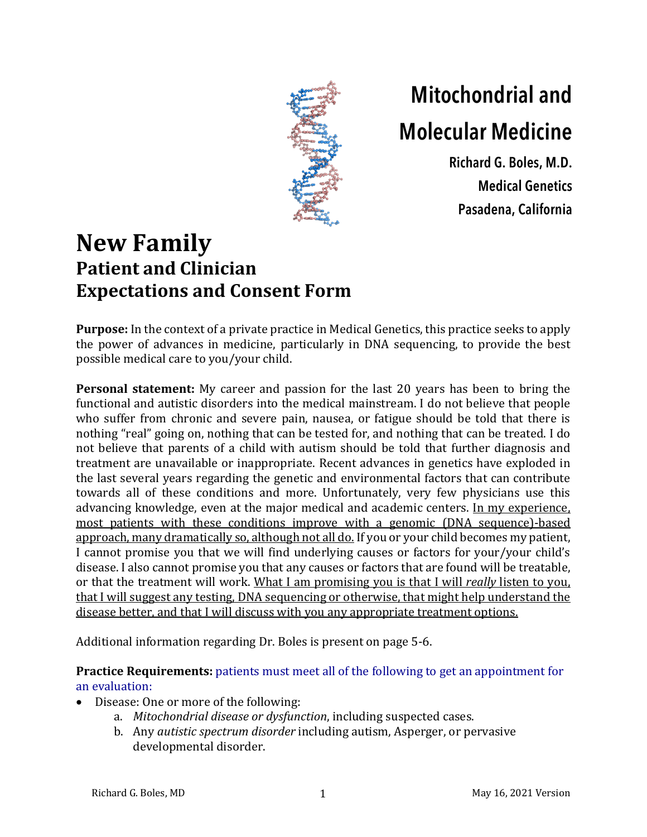

## **Mitochondrial and Molecular Medicine**

**Richard G. Boles, M.D. Medical Genetics Pasadena, California**

## **New Family Patient and Clinician Expectations and Consent Form**

**Purpose:** In the context of a private practice in Medical Genetics, this practice seeks to apply the power of advances in medicine, particularly in DNA sequencing, to provide the best possible medical care to you/your child.

**Personal statement:** My career and passion for the last 20 years has been to bring the functional and autistic disorders into the medical mainstream. I do not believe that people who suffer from chronic and severe pain, nausea, or fatigue should be told that there is nothing "real" going on, nothing that can be tested for, and nothing that can be treated. I do not believe that parents of a child with autism should be told that further diagnosis and treatment are unavailable or inappropriate. Recent advances in genetics have exploded in the last several years regarding the genetic and environmental factors that can contribute towards all of these conditions and more. Unfortunately, very few physicians use this advancing knowledge, even at the major medical and academic centers. In my experience, most patients with these conditions improve with a genomic (DNA sequence)-based approach, many dramatically so, although not all do. If you or your child becomes my patient, I cannot promise you that we will find underlying causes or factors for your/your child's disease. I also cannot promise you that any causes or factors that are found will be treatable, or that the treatment will work. What I am promising you is that I will *really* listen to you, that I will suggest any testing, DNA sequencing or otherwise, that might help understand the disease better, and that I will discuss with you any appropriate treatment options.

Additional information regarding Dr. Boles is present on page 5-6.

**Practice Requirements:** patients must meet all of the following to get an appointment for an evaluation:

- Disease: One or more of the following:
	- a. *Mitochondrial disease or dysfunction*, including suspected cases.
	- b. Any *autistic spectrum disorder* including autism, Asperger, or pervasive developmental disorder.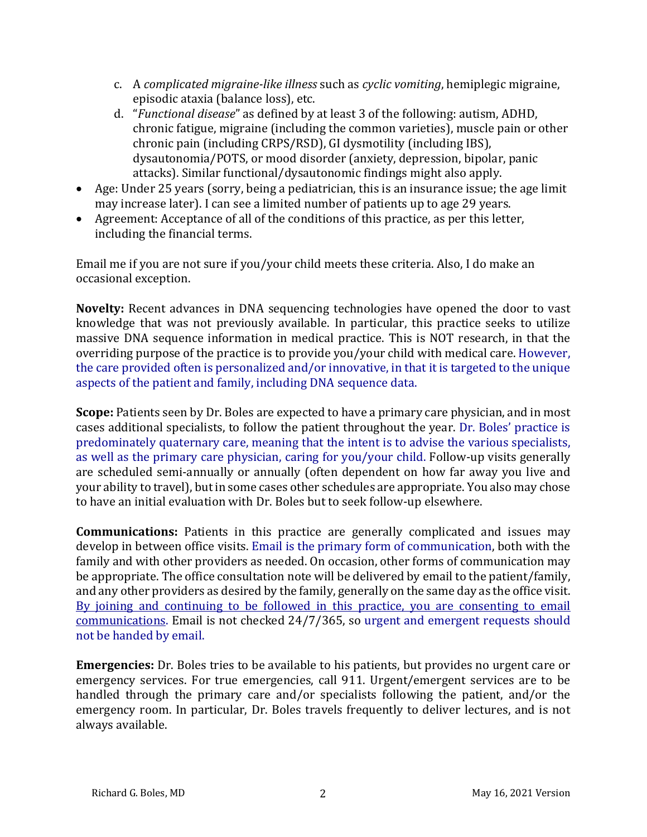- c. A *complicated migraine-like illness* such as *cyclic vomiting*, hemiplegic migraine, episodic ataxia (balance loss), etc.
- d. *"Functional disease"* as defined by at least 3 of the following: autism, ADHD, chronic fatigue, migraine (including the common varieties), muscle pain or other chronic pain (including CRPS/RSD), GI dysmotility (including IBS), dysautonomia/POTS, or mood disorder (anxiety, depression, bipolar, panic attacks). Similar functional/dysautonomic findings might also apply.
- Age: Under 25 years (sorry, being a pediatrician, this is an insurance issue; the age limit may increase later). I can see a limited number of patients up to age 29 years.
- Agreement: Acceptance of all of the conditions of this practice, as per this letter, including the financial terms.

Email me if you are not sure if you/your child meets these criteria. Also, I do make an occasional exception.

**Novelty:** Recent advances in DNA sequencing technologies have opened the door to vast knowledge that was not previously available. In particular, this practice seeks to utilize massive DNA sequence information in medical practice. This is NOT research, in that the overriding purpose of the practice is to provide you/your child with medical care. However, the care provided often is personalized and/or innovative, in that it is targeted to the unique aspects of the patient and family, including DNA sequence data.

**Scope:** Patients seen by Dr. Boles are expected to have a primary care physician, and in most cases additional specialists, to follow the patient throughout the year. Dr. Boles' practice is predominately quaternary care, meaning that the intent is to advise the various specialists, as well as the primary care physician, caring for you/your child. Follow-up visits generally are scheduled semi-annually or annually (often dependent on how far away you live and your ability to travel), but in some cases other schedules are appropriate. You also may chose to have an initial evaluation with Dr. Boles but to seek follow-up elsewhere.

**Communications:** Patients in this practice are generally complicated and issues may develop in between office visits. Email is the primary form of communication, both with the family and with other providers as needed. On occasion, other forms of communication may be appropriate. The office consultation note will be delivered by email to the patient/family, and any other providers as desired by the family, generally on the same day as the office visit. By joining and continuing to be followed in this practice, you are consenting to email communications. Email is not checked 24/7/365, so urgent and emergent requests should not be handed by email.

**Emergencies:** Dr. Boles tries to be available to his patients, but provides no urgent care or emergency services. For true emergencies, call 911. Urgent/emergent services are to be handled through the primary care and/or specialists following the patient, and/or the emergency room. In particular, Dr. Boles travels frequently to deliver lectures, and is not always available.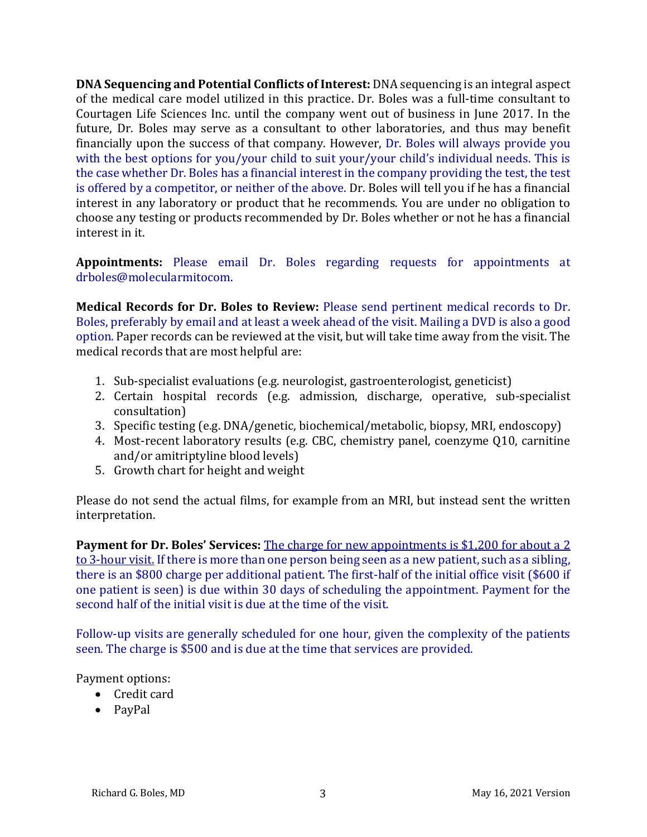**DNA Sequencing and Potential Conflicts of Interest:** DNA sequencing is an integral aspect of the medical care model utilized in this practice. Dr. Boles was a full-time consultant to Courtagen Life Sciences Inc. until the company went out of business in June 2017. In the future, Dr. Boles may serve as a consultant to other laboratories, and thus may benefit financially upon the success of that company. However, Dr. Boles will always provide you with the best options for you/your child to suit your/your child's individual needs. This is the case whether Dr. Boles has a financial interest in the company providing the test, the test is offered by a competitor, or neither of the above. Dr. Boles will tell you if he has a financial interest in any laboratory or product that he recommends. You are under no obligation to choose any testing or products recommended by Dr. Boles whether or not he has a financial interest in it.

**Appointments:** Please email Dr. Boles regarding requests for appointments at drboles@molecularmitocom.

**Medical Records for Dr. Boles to Review:** Please send pertinent medical records to Dr. Boles, preferably by email and at least a week ahead of the visit. Mailing a DVD is also a good option. Paper records can be reviewed at the visit, but will take time away from the visit. The medical records that are most helpful are:

- 1. Sub-specialist evaluations (e.g. neurologist, gastroenterologist, geneticist)
- 2. Certain hospital records (e.g. admission, discharge, operative, sub-specialist consultation)
- 3. Specific testing (e.g. DNA/genetic, biochemical/metabolic, biopsy, MRI, endoscopy)
- 4. Most-recent laboratory results (e.g. CBC, chemistry panel, coenzyme Q10, carnitine and/or amitriptyline blood levels)
- 5. Growth chart for height and weight

Please do not send the actual films, for example from an MRI, but instead sent the written interpretation.

**Payment for Dr. Boles' Services:** The charge for new appointments is \$1,200 for about a 2 to 3-hour visit. If there is more than one person being seen as a new patient, such as a sibling, there is an \$800 charge per additional patient. The first-half of the initial office visit (\$600 if one patient is seen) is due within 30 days of scheduling the appointment. Payment for the second half of the initial visit is due at the time of the visit.

Follow-up visits are generally scheduled for one hour, given the complexity of the patients seen. The charge is \$500 and is due at the time that services are provided.

Payment options:

- Credit card
- PayPal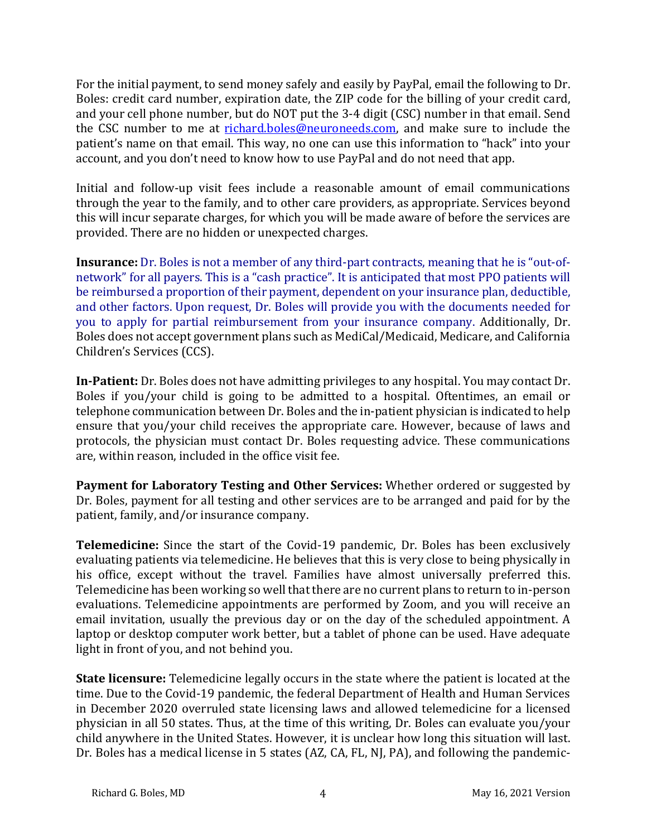For the initial payment, to send money safely and easily by PayPal, email the following to Dr. Boles: credit card number, expiration date, the ZIP code for the billing of your credit card, and your cell phone number, but do NOT put the 3-4 digit (CSC) number in that email. Send the CSC number to me at richard.boles@neuroneeds.com, and make sure to include the patient's name on that email. This way, no one can use this information to "hack" into your account, and you don't need to know how to use PayPal and do not need that app.

Initial and follow-up visit fees include a reasonable amount of email communications through the year to the family, and to other care providers, as appropriate. Services beyond this will incur separate charges, for which you will be made aware of before the services are provided. There are no hidden or unexpected charges.

**Insurance:** Dr. Boles is not a member of any third-part contracts, meaning that he is "out-ofnetwork" for all payers. This is a "cash practice". It is anticipated that most PPO patients will be reimbursed a proportion of their payment, dependent on your insurance plan, deductible, and other factors. Upon request, Dr. Boles will provide you with the documents needed for you to apply for partial reimbursement from your insurance company. Additionally, Dr. Boles does not accept government plans such as MediCal/Medicaid, Medicare, and California Children's Services (CCS).

**In-Patient:** Dr. Boles does not have admitting privileges to any hospital. You may contact Dr. Boles if you/your child is going to be admitted to a hospital. Oftentimes, an email or telephone communication between Dr. Boles and the in-patient physician is indicated to help ensure that you/your child receives the appropriate care. However, because of laws and protocols, the physician must contact Dr. Boles requesting advice. These communications are, within reason, included in the office visit fee.

**Payment for Laboratory Testing and Other Services:** Whether ordered or suggested by Dr. Boles, payment for all testing and other services are to be arranged and paid for by the patient, family, and/or insurance company.

**Telemedicine:** Since the start of the Covid-19 pandemic, Dr. Boles has been exclusively evaluating patients via telemedicine. He believes that this is very close to being physically in his office, except without the travel. Families have almost universally preferred this. Telemedicine has been working so well that there are no current plans to return to in-person evaluations. Telemedicine appointments are performed by Zoom, and you will receive an email invitation, usually the previous day or on the day of the scheduled appointment. A laptop or desktop computer work better, but a tablet of phone can be used. Have adequate light in front of you, and not behind you.

**State licensure:** Telemedicine legally occurs in the state where the patient is located at the time. Due to the Covid-19 pandemic, the federal Department of Health and Human Services in December 2020 overruled state licensing laws and allowed telemedicine for a licensed physician in all 50 states. Thus, at the time of this writing, Dr. Boles can evaluate you/your child anywhere in the United States. However, it is unclear how long this situation will last. Dr. Boles has a medical license in 5 states (AZ, CA, FL, NJ, PA), and following the pandemic-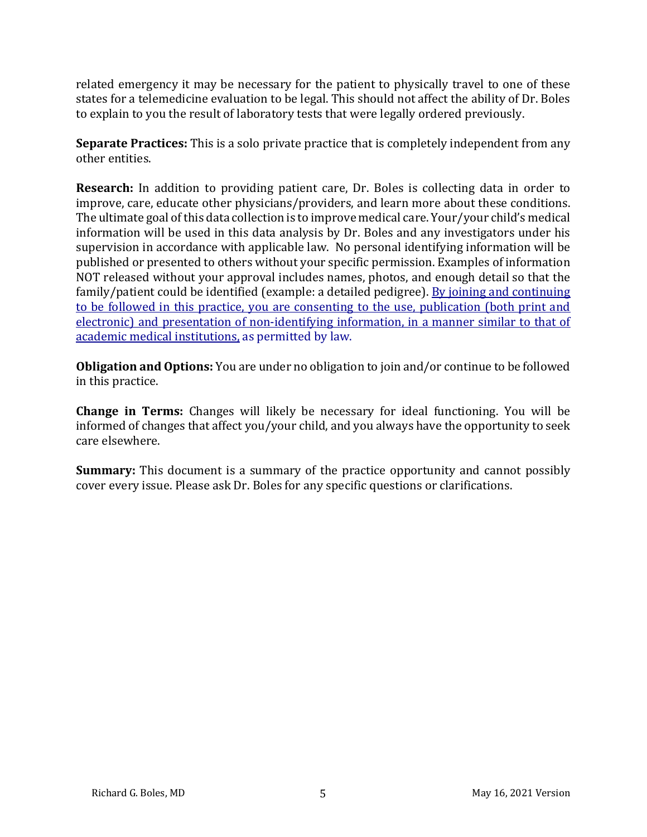related emergency it may be necessary for the patient to physically travel to one of these states for a telemedicine evaluation to be legal. This should not affect the ability of Dr. Boles to explain to you the result of laboratory tests that were legally ordered previously.

**Separate Practices:** This is a solo private practice that is completely independent from any other entities.

**Research:** In addition to providing patient care, Dr. Boles is collecting data in order to improve, care, educate other physicians/providers, and learn more about these conditions. The ultimate goal of this data collection is to improve medical care. Your/your child's medical information will be used in this data analysis by Dr. Boles and any investigators under his supervision in accordance with applicable law. No personal identifying information will be published or presented to others without your specific permission. Examples of information NOT released without your approval includes names, photos, and enough detail so that the family/patient could be identified (example: a detailed pedigree). By joining and continuing to be followed in this practice, you are consenting to the use, publication (both print and electronic) and presentation of non-identifying information, in a manner similar to that of academic medical institutions, as permitted by law.

**Obligation and Options:** You are under no obligation to join and/or continue to be followed in this practice.

**Change in Terms:** Changes will likely be necessary for ideal functioning. You will be informed of changes that affect you/your child, and you always have the opportunity to seek care elsewhere.

**Summary:** This document is a summary of the practice opportunity and cannot possibly cover every issue. Please ask Dr. Boles for any specific questions or clarifications.